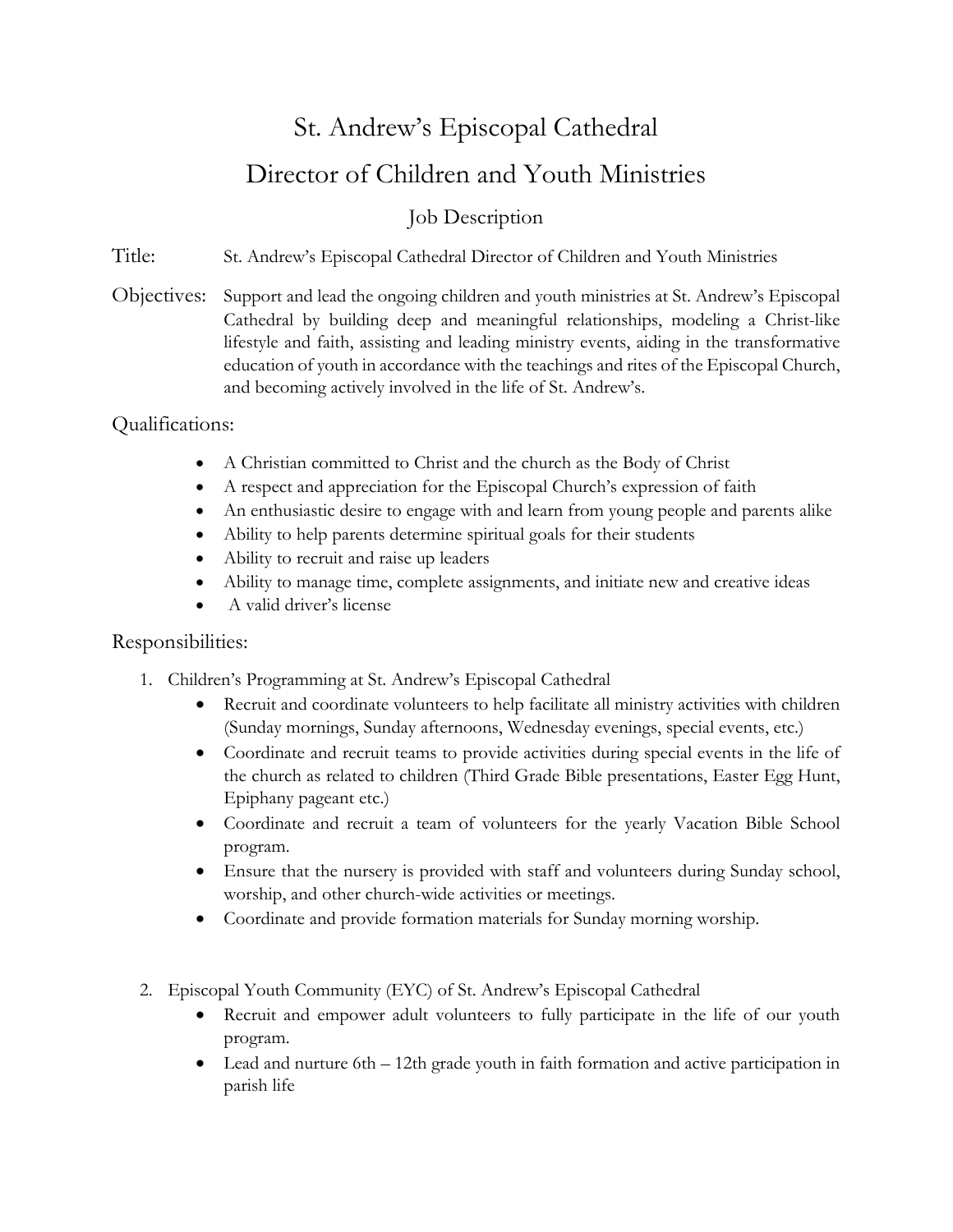## St. Andrew's Episcopal Cathedral Director of Children and Youth Ministries

## Job Description

Title: St. Andrew's Episcopal Cathedral Director of Children and Youth Ministries

Objectives: Support and lead the ongoing children and youth ministries at St. Andrew's Episcopal Cathedral by building deep and meaningful relationships, modeling a Christ-like lifestyle and faith, assisting and leading ministry events, aiding in the transformative education of youth in accordance with the teachings and rites of the Episcopal Church, and becoming actively involved in the life of St. Andrew's.

## Qualifications:

- A Christian committed to Christ and the church as the Body of Christ
- A respect and appreciation for the Episcopal Church's expression of faith
- An enthusiastic desire to engage with and learn from young people and parents alike
- Ability to help parents determine spiritual goals for their students
- Ability to recruit and raise up leaders
- Ability to manage time, complete assignments, and initiate new and creative ideas
- A valid driver's license

## Responsibilities:

- 1. Children's Programming at St. Andrew's Episcopal Cathedral
	- Recruit and coordinate volunteers to help facilitate all ministry activities with children (Sunday mornings, Sunday afternoons, Wednesday evenings, special events, etc.)
	- Coordinate and recruit teams to provide activities during special events in the life of the church as related to children (Third Grade Bible presentations, Easter Egg Hunt, Epiphany pageant etc.)
	- Coordinate and recruit a team of volunteers for the yearly Vacation Bible School program.
	- Ensure that the nursery is provided with staff and volunteers during Sunday school, worship, and other church-wide activities or meetings.
	- Coordinate and provide formation materials for Sunday morning worship.
- 2. Episcopal Youth Community (EYC) of St. Andrew's Episcopal Cathedral
	- Recruit and empower adult volunteers to fully participate in the life of our youth program.
	- Lead and nurture 6th 12th grade youth in faith formation and active participation in parish life